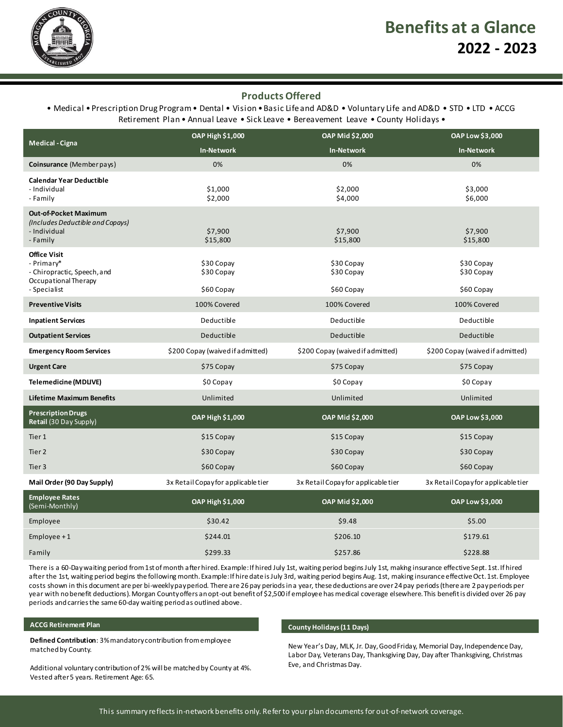

## **Products Offered**

### • Medical • Prescription Drug Program • Dental • Vision • Basic Life and AD&D • Voluntary Life and AD&D • STD • LTD • ACCG Retirement Plan • Annual Leave • Sick Leave • Bereavement Leave • County Holidays •

|                                                                                                          | OAP High \$1,000                       | OAP Mid \$2,000                        | OAP Low \$3,000                        |
|----------------------------------------------------------------------------------------------------------|----------------------------------------|----------------------------------------|----------------------------------------|
| <b>Medical - Cigna</b>                                                                                   | <b>In-Network</b>                      | <b>In-Network</b>                      | <b>In-Network</b>                      |
| Coinsurance (Memberpays)                                                                                 | 0%                                     | 0%                                     | 0%                                     |
| <b>Calendar Year Deductible</b><br>- Individual<br>- Family                                              | \$1,000<br>\$2,000                     | \$2,000<br>\$4,000                     | \$3,000<br>\$6,000                     |
| <b>Out-of-Pocket Maximum</b><br>(Includes Deductible and Copays)<br>- Individual<br>- Family             | \$7,900<br>\$15,800                    | \$7,900<br>\$15,800                    | \$7,900<br>\$15,800                    |
| <b>Office Visit</b><br>- Primary*<br>- Chiropractic, Speech, and<br>Occupational Therapy<br>- Specialist | \$30 Copay<br>\$30 Copay<br>\$60 Copay | \$30 Copay<br>\$30 Copay<br>\$60 Copay | \$30 Copay<br>\$30 Copay<br>\$60 Copay |
| <b>Preventive Visits</b>                                                                                 | 100% Covered                           | 100% Covered                           | 100% Covered                           |
| <b>Inpatient Services</b>                                                                                | Deductible                             | Deductible                             | Deductible                             |
| <b>Outpatient Services</b>                                                                               | Deductible                             | Deductible                             | Deductible                             |
| <b>Emergency Room Services</b>                                                                           | \$200 Copay (waived if admitted)       | \$200 Copay (waived if admitted)       | \$200 Copay (waived if admitted)       |
| <b>Urgent Care</b>                                                                                       | \$75 Copay                             | \$75 Copay                             | \$75 Copay                             |
| <b>Telemedicine (MDLIVE)</b>                                                                             | $$0$ Copay                             | \$0 Copay                              | $$0$ Copay                             |
| Lifetime Maximum Benefits                                                                                | Unlimited                              | Unlimited                              | Unlimited                              |
| <b>Prescription Drugs</b><br>Retail (30 Day Supply)                                                      | OAP High \$1,000                       | <b>OAP Mid \$2,000</b>                 | <b>OAP Low \$3,000</b>                 |
| Tier 1                                                                                                   | \$15 Copay                             | \$15 Copay                             | \$15 Copay                             |
| Tier <sub>2</sub>                                                                                        | \$30 Copay                             | \$30 Copay                             | \$30 Copay                             |
| Tier 3                                                                                                   | \$60 Copay                             | \$60 Copay                             | \$60 Copay                             |
| Mail Order (90 Day Supply)                                                                               | 3x Retail Copay for applicable tier    | 3x Retail Copay for applicable tier    | 3x Retail Copay for applicable tier    |
| <b>Employee Rates</b><br>(Semi-Monthly)                                                                  | OAP High \$1,000                       | <b>OAP Mid \$2,000</b>                 | OAP Low \$3,000                        |
| Employee                                                                                                 | \$30.42                                | \$9.48                                 | \$5.00                                 |
| Employee $+1$                                                                                            | \$244.01                               | \$206.10                               | \$179.61                               |
| Family                                                                                                   | \$299.33                               | \$257.86                               | \$228.88                               |

There is a 60-Day waiting period from 1st of month after hired. Example: If hired July 1st, waiting period begins July 1st, making insurance effective Sept. 1st. If hired after the 1st, waiting period begins the following month. Example: If hire date is July 3rd, waiting period begins Aug. 1st, making insurance effective Oct. 1st. Employee costs shown in this document are per bi-weekly pay period. There are 26 pay periods in a year, these deductions are over 24 pay periods (there are 2 pay periods per year with no benefit deductions). Morgan County offers an opt-out benefit of \$2,500 if employee has medical coverage elsewhere. This benefit is divided over 26 pay periods and carries the same 60-day waiting period as outlined above.

#### **ACCG Retirement Plan**

**Defined Contribution**: 3% mandatory contribution from employee matched by County.

Additional voluntary contribution of 2% will be matched by County at 4%. Vested after 5 years. Retirement Age: 65.

#### **County Holidays (11 Days)**

New Year's Day, MLK, Jr. Day, Good Friday, Memorial Day, Independence Day, Labor Day, Veterans Day, Thanksgiving Day, Day after Thanksgiving, Christmas Eve, and Christmas Day.